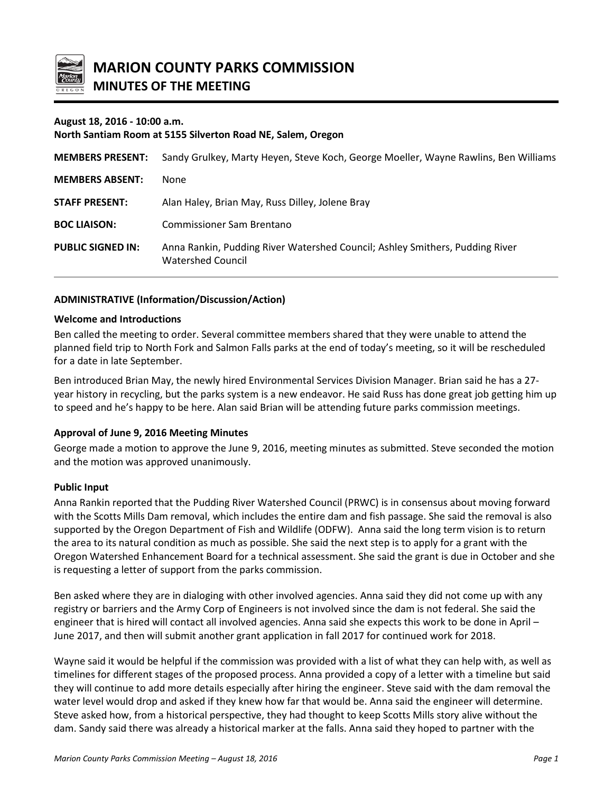

## **August 18, 2016 - 10:00 a.m.**

#### **North Santiam Room at 5155 Silverton Road NE, Salem, Oregon**

| <b>MEMBERS PRESENT:</b>  | Sandy Grulkey, Marty Heyen, Steve Koch, George Moeller, Wayne Rawlins, Ben Williams               |
|--------------------------|---------------------------------------------------------------------------------------------------|
| <b>MEMBERS ABSENT:</b>   | None                                                                                              |
| <b>STAFF PRESENT:</b>    | Alan Haley, Brian May, Russ Dilley, Jolene Bray                                                   |
| <b>BOC LIAISON:</b>      | <b>Commissioner Sam Brentano</b>                                                                  |
| <b>PUBLIC SIGNED IN:</b> | Anna Rankin, Pudding River Watershed Council; Ashley Smithers, Pudding River<br>Watershed Council |

## **ADMINISTRATIVE (Information/Discussion/Action)**

#### **Welcome and Introductions**

Ben called the meeting to order. Several committee members shared that they were unable to attend the planned field trip to North Fork and Salmon Falls parks at the end of today's meeting, so it will be rescheduled for a date in late September.

Ben introduced Brian May, the newly hired Environmental Services Division Manager. Brian said he has a 27 year history in recycling, but the parks system is a new endeavor. He said Russ has done great job getting him up to speed and he's happy to be here. Alan said Brian will be attending future parks commission meetings.

#### **Approval of June 9, 2016 Meeting Minutes**

George made a motion to approve the June 9, 2016, meeting minutes as submitted. Steve seconded the motion and the motion was approved unanimously.

#### **Public Input**

Anna Rankin reported that the Pudding River Watershed Council (PRWC) is in consensus about moving forward with the Scotts Mills Dam removal, which includes the entire dam and fish passage. She said the removal is also supported by the Oregon Department of Fish and Wildlife (ODFW). Anna said the long term vision is to return the area to its natural condition as much as possible. She said the next step is to apply for a grant with the Oregon Watershed Enhancement Board for a technical assessment. She said the grant is due in October and she is requesting a letter of support from the parks commission.

Ben asked where they are in dialoging with other involved agencies. Anna said they did not come up with any registry or barriers and the Army Corp of Engineers is not involved since the dam is not federal. She said the engineer that is hired will contact all involved agencies. Anna said she expects this work to be done in April – June 2017, and then will submit another grant application in fall 2017 for continued work for 2018.

Wayne said it would be helpful if the commission was provided with a list of what they can help with, as well as timelines for different stages of the proposed process. Anna provided a copy of a letter with a timeline but said they will continue to add more details especially after hiring the engineer. Steve said with the dam removal the water level would drop and asked if they knew how far that would be. Anna said the engineer will determine. Steve asked how, from a historical perspective, they had thought to keep Scotts Mills story alive without the dam. Sandy said there was already a historical marker at the falls. Anna said they hoped to partner with the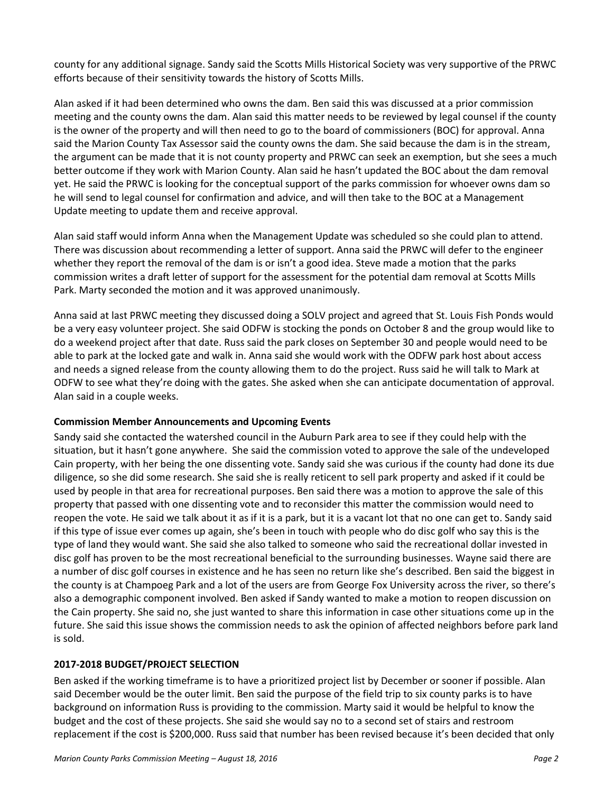county for any additional signage. Sandy said the Scotts Mills Historical Society was very supportive of the PRWC efforts because of their sensitivity towards the history of Scotts Mills.

Alan asked if it had been determined who owns the dam. Ben said this was discussed at a prior commission meeting and the county owns the dam. Alan said this matter needs to be reviewed by legal counsel if the county is the owner of the property and will then need to go to the board of commissioners (BOC) for approval. Anna said the Marion County Tax Assessor said the county owns the dam. She said because the dam is in the stream, the argument can be made that it is not county property and PRWC can seek an exemption, but she sees a much better outcome if they work with Marion County. Alan said he hasn't updated the BOC about the dam removal yet. He said the PRWC is looking for the conceptual support of the parks commission for whoever owns dam so he will send to legal counsel for confirmation and advice, and will then take to the BOC at a Management Update meeting to update them and receive approval.

Alan said staff would inform Anna when the Management Update was scheduled so she could plan to attend. There was discussion about recommending a letter of support. Anna said the PRWC will defer to the engineer whether they report the removal of the dam is or isn't a good idea. Steve made a motion that the parks commission writes a draft letter of support for the assessment for the potential dam removal at Scotts Mills Park. Marty seconded the motion and it was approved unanimously.

Anna said at last PRWC meeting they discussed doing a SOLV project and agreed that St. Louis Fish Ponds would be a very easy volunteer project. She said ODFW is stocking the ponds on October 8 and the group would like to do a weekend project after that date. Russ said the park closes on September 30 and people would need to be able to park at the locked gate and walk in. Anna said she would work with the ODFW park host about access and needs a signed release from the county allowing them to do the project. Russ said he will talk to Mark at ODFW to see what they're doing with the gates. She asked when she can anticipate documentation of approval. Alan said in a couple weeks.

## **Commission Member Announcements and Upcoming Events**

Sandy said she contacted the watershed council in the Auburn Park area to see if they could help with the situation, but it hasn't gone anywhere. She said the commission voted to approve the sale of the undeveloped Cain property, with her being the one dissenting vote. Sandy said she was curious if the county had done its due diligence, so she did some research. She said she is really reticent to sell park property and asked if it could be used by people in that area for recreational purposes. Ben said there was a motion to approve the sale of this property that passed with one dissenting vote and to reconsider this matter the commission would need to reopen the vote. He said we talk about it as if it is a park, but it is a vacant lot that no one can get to. Sandy said if this type of issue ever comes up again, she's been in touch with people who do disc golf who say this is the type of land they would want. She said she also talked to someone who said the recreational dollar invested in disc golf has proven to be the most recreational beneficial to the surrounding businesses. Wayne said there are a number of disc golf courses in existence and he has seen no return like she's described. Ben said the biggest in the county is at Champoeg Park and a lot of the users are from George Fox University across the river, so there's also a demographic component involved. Ben asked if Sandy wanted to make a motion to reopen discussion on the Cain property. She said no, she just wanted to share this information in case other situations come up in the future. She said this issue shows the commission needs to ask the opinion of affected neighbors before park land is sold.

# **2017-2018 BUDGET/PROJECT SELECTION**

Ben asked if the working timeframe is to have a prioritized project list by December or sooner if possible. Alan said December would be the outer limit. Ben said the purpose of the field trip to six county parks is to have background on information Russ is providing to the commission. Marty said it would be helpful to know the budget and the cost of these projects. She said she would say no to a second set of stairs and restroom replacement if the cost is \$200,000. Russ said that number has been revised because it's been decided that only